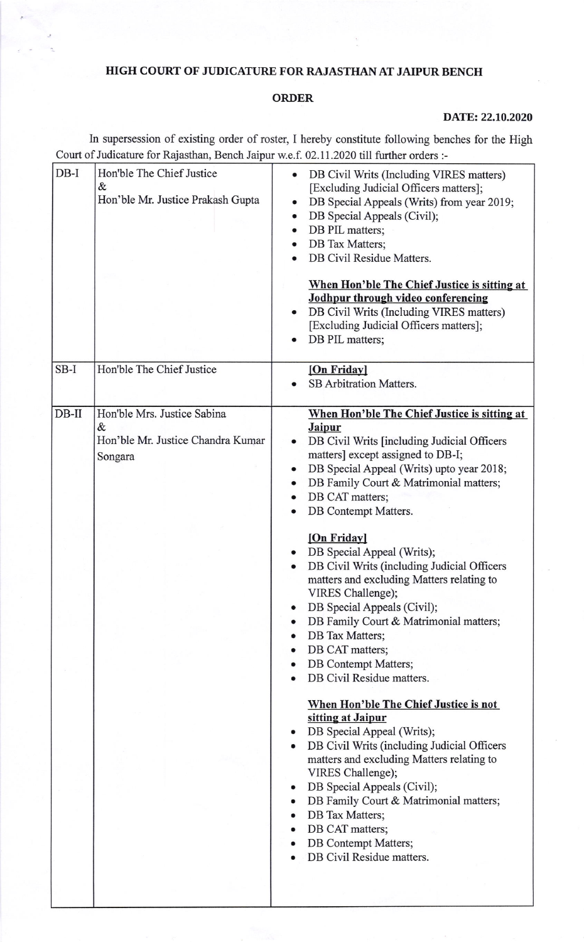## HIGH COURT OF JUDICATURE FOR RAJASTHAN AT JAIPUR BENCH

## ORDER

## DATE: 22.10.2020

In supersession of existing order of roster, I hereby constitute following benches for the High Court of Judicature for Rajasthan, Bench Jaipur w.e.f. 02.11.2020 till further orders :-

| $DB-I$  | Hon'ble The Chief Justice<br>&<br>Hon'ble Mr. Justice Prakash Gupta              | DB Civil Writs (Including VIRES matters)<br>[Excluding Judicial Officers matters];<br>DB Special Appeals (Writs) from year 2019;<br>DB Special Appeals (Civil);<br>$\bullet$<br>DB PIL matters;<br>DB Tax Matters;<br>DB Civil Residue Matters.<br>When Hon'ble The Chief Justice is sitting at<br>Jodhpur through video conferencing<br>DB Civil Writs (Including VIRES matters)<br>٠<br>[Excluding Judicial Officers matters];<br>DB PIL matters;                                                                                                                                                                                                                                                                                                                                                                                                                                                                                                                                                                                                                                 |
|---------|----------------------------------------------------------------------------------|-------------------------------------------------------------------------------------------------------------------------------------------------------------------------------------------------------------------------------------------------------------------------------------------------------------------------------------------------------------------------------------------------------------------------------------------------------------------------------------------------------------------------------------------------------------------------------------------------------------------------------------------------------------------------------------------------------------------------------------------------------------------------------------------------------------------------------------------------------------------------------------------------------------------------------------------------------------------------------------------------------------------------------------------------------------------------------------|
| $SB-I$  | Hon'ble The Chief Justice                                                        | [On Friday]<br>SB Arbitration Matters.                                                                                                                                                                                                                                                                                                                                                                                                                                                                                                                                                                                                                                                                                                                                                                                                                                                                                                                                                                                                                                              |
| $DB-II$ | Hon'ble Mrs. Justice Sabina<br>&<br>Hon'ble Mr. Justice Chandra Kumar<br>Songara | When Hon'ble The Chief Justice is sitting at<br><b>Jaipur</b><br>DB Civil Writs [including Judicial Officers<br>matters] except assigned to DB-I;<br>DB Special Appeal (Writs) upto year 2018;<br>$\bullet$<br>DB Family Court & Matrimonial matters;<br>$\bullet$<br>DB CAT matters;<br>DB Contempt Matters.<br>[On Friday]<br>DB Special Appeal (Writs);<br>DB Civil Writs (including Judicial Officers<br>matters and excluding Matters relating to<br>VIRES Challenge);<br>DB Special Appeals (Civil);<br>DB Family Court & Matrimonial matters;<br>DB Tax Matters;<br>$\bullet$<br>DB CAT matters;<br><b>DB</b> Contempt Matters;<br>$\bullet$<br>DB Civil Residue matters.<br>When Hon'ble The Chief Justice is not<br>sitting at Jaipur<br>DB Special Appeal (Writs);<br>$\bullet$<br>DB Civil Writs (including Judicial Officers<br>matters and excluding Matters relating to<br>VIRES Challenge);<br>DB Special Appeals (Civil);<br>٠<br>DB Family Court & Matrimonial matters;<br>DB Tax Matters;<br>DB CAT matters;<br>DB Contempt Matters;<br>DB Civil Residue matters. |
|         |                                                                                  |                                                                                                                                                                                                                                                                                                                                                                                                                                                                                                                                                                                                                                                                                                                                                                                                                                                                                                                                                                                                                                                                                     |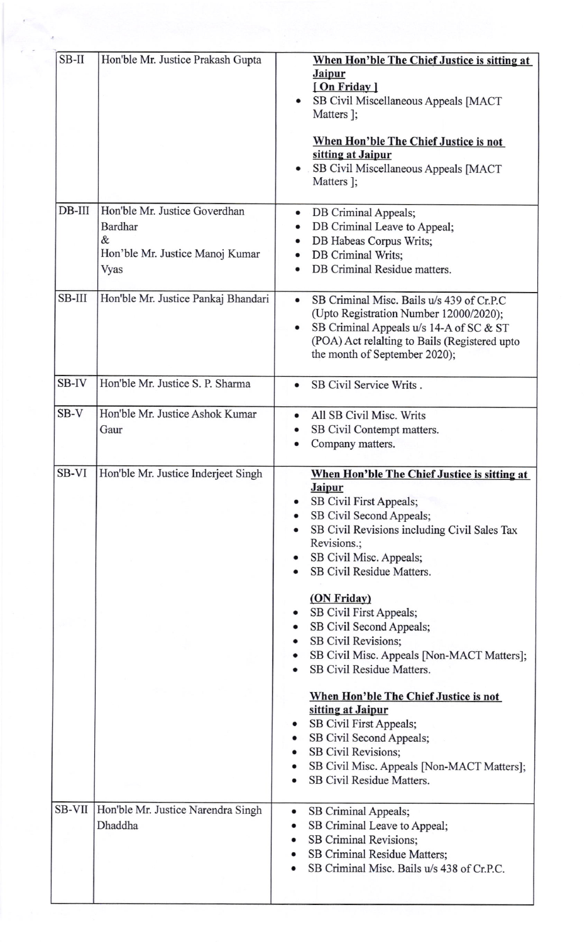| $SB-II$      | Hon'ble Mr. Justice Prakash Gupta                                                        | When Hon'ble The Chief Justice is sitting at<br><b>Jaipur</b><br>[On Friday]<br>SB Civil Miscellaneous Appeals [MACT<br>Matters ];<br>When Hon'ble The Chief Justice is not<br>sitting at Jaipur                                            |
|--------------|------------------------------------------------------------------------------------------|---------------------------------------------------------------------------------------------------------------------------------------------------------------------------------------------------------------------------------------------|
|              |                                                                                          | SB Civil Miscellaneous Appeals [MACT<br>Matters ];                                                                                                                                                                                          |
| DB-III       | Hon'ble Mr. Justice Goverdhan<br>Bardhar<br>&<br>Hon'ble Mr. Justice Manoj Kumar<br>Vyas | DB Criminal Appeals;<br>٠<br>DB Criminal Leave to Appeal;<br>DB Habeas Corpus Writs;<br>٠<br>DB Criminal Writs;<br>DB Criminal Residue matters.                                                                                             |
| SB-III       | Hon'ble Mr. Justice Pankaj Bhandari                                                      | SB Criminal Misc. Bails u/s 439 of Cr.P.C<br>$\bullet$<br>(Upto Registration Number 12000/2020);<br>SB Criminal Appeals u/s 14-A of SC & ST<br>٠<br>(POA) Act relalting to Bails (Registered upto<br>the month of September 2020);          |
| <b>SB-IV</b> | Hon'ble Mr. Justice S. P. Sharma                                                         | SB Civil Service Writs.<br>٠                                                                                                                                                                                                                |
| $SB-V$       | Hon'ble Mr. Justice Ashok Kumar<br>Gaur                                                  | All SB Civil Misc. Writs<br>$\bullet$<br>SB Civil Contempt matters.<br>Company matters.                                                                                                                                                     |
| SB-VI        | Hon'ble Mr. Justice Inderjeet Singh                                                      | When Hon'ble The Chief Justice is sitting at<br><b>Jaipur</b><br>SB Civil First Appeals;<br>SB Civil Second Appeals;<br>SB Civil Revisions including Civil Sales Tax<br>Revisions.;<br>SB Civil Misc. Appeals;<br>SB Civil Residue Matters. |
|              |                                                                                          | (ON Friday)<br>SB Civil First Appeals;<br>SB Civil Second Appeals;<br>SB Civil Revisions;<br>SB Civil Misc. Appeals [Non-MACT Matters];<br>SB Civil Residue Matters.                                                                        |
|              |                                                                                          | When Hon'ble The Chief Justice is not<br>sitting at Jaipur<br>SB Civil First Appeals;<br>SB Civil Second Appeals;<br>SB Civil Revisions;<br>SB Civil Misc. Appeals [Non-MACT Matters];<br>SB Civil Residue Matters.                         |
| SB-VII       | Hon'ble Mr. Justice Narendra Singh<br>Dhaddha                                            | SB Criminal Appeals;<br>٠<br>SB Criminal Leave to Appeal;<br>٠<br>SB Criminal Revisions;<br>٠<br>SB Criminal Residue Matters;<br>SB Criminal Misc. Bails u/s 438 of Cr.P.C.                                                                 |